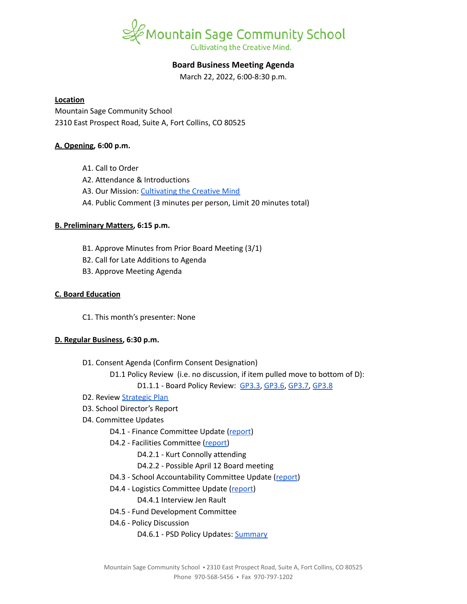

# **Board Business Meeting Agenda**

March 22, 2022, 6:00-8:30 p.m.

#### **Location**

Mountain Sage Community School 2310 East Prospect Road, Suite A, Fort Collins, CO 80525

#### **A. Opening, 6:00 p.m.**

- A1. Call to Order
- A2. Attendance & Introductions
- A3. Our Mission: [Cultivating](https://www.mountainsage.org/about-us/mission-and-vision/) the Creative Mind
- A4. Public Comment (3 minutes per person, Limit 20 minutes total)

## **B. Preliminary Matters, 6:15 p.m.**

- B1. Approve Minutes from Prior Board Meeting (3/1)
- B2. Call for Late Additions to Agenda
- B3. Approve Meeting Agenda

## **C. Board Education**

C1. This month's presenter: None

## **D. Regular Business, 6:30 p.m.**

- D1. Consent Agenda (Confirm Consent Designation)
	- D1.1 Policy Review (i.e. no discussion, if item pulled move to bottom of D):
		- D1.1.1 Board Policy Review: [GP3.3](https://docs.google.com/document/d/1rCNyuUn-oRMQUnt7UX3Ur8rkx1Y8x7-CkbfRWeG56kU), [GP3.6,](https://drive.google.com/file/d/1UAONweGCuuDd8mWDhrIucZLGPVlImDqb/view?usp=sharing) [GP3.7,](https://drive.google.com/file/d/19x5OoWO_g9U5QiqeLzxehwurZVRhz0zs/view?usp=sharing) [GP3.8](https://drive.google.com/file/d/1MVzVCCua3Qc8a1vRP9jFxAAnLLplfjks/view?usp=sharing)
- D2. Review **[Strategic](https://docs.google.com/spreadsheets/d/1RR7z4DQ0Oq8Z29iw-TRpzfxcoDyemB4IFJY4Hpq8Y_k/edit?usp=sharing) Plan**
- D3. School Director's Report
- D4. Committee Updates
	- D4.1 Finance Committee Update ([report](https://docs.google.com/document/d/1R-CaOg0lAmRmb3YsiMB4PDS7hcZvmDbi41MmOd2y26E/edit?usp=sharing))
	- D4.2 Facilities Committee [\(report\)](https://docs.google.com/document/d/1gKUbyioxfrHf6zq7kh9fWgFIUIfH8JIHEfquYuF5T20/edit?usp=sharing)
		- D4.2.1 Kurt Connolly attending
		- D4.2.2 Possible April 12 Board meeting
	- D4.3 School Accountability Committee Update [\(report](https://docs.google.com/document/d/1fMtd1Pcjlw39fnp-Y8rxic_UOsDLZ6rofTmgbftNUkk/edit?usp=sharing))
	- D4.4 Logistics Committee Update ([report](https://docs.google.com/document/d/1jjtcTD2ldXKem72m8x5lULZkMYd26y-Bud4rkXiOAas/edit?usp=sharing))
		- D4.4.1 Interview Jen Rault
	- D4.5 Fund Development Committee
	- D4.6 Policy Discussion
		- D4.6.1 PSD Policy Updates: [Summary](https://docs.google.com/document/d/1pMrh5jbBunsjqdPwHyCUVhAl5bw4H3ZQZfTp0MNdFAs/edit?usp=sharing)